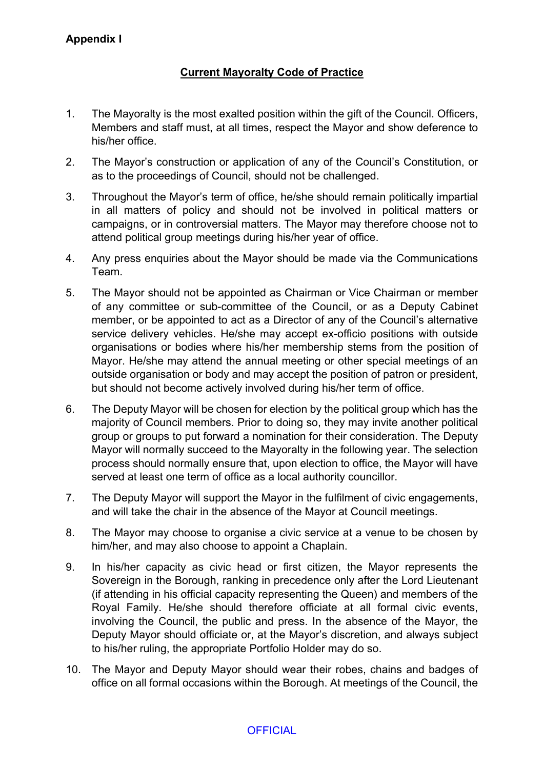## **Current Mayoralty Code of Practice**

- 1. The Mayoralty is the most exalted position within the gift of the Council. Officers, Members and staff must, at all times, respect the Mayor and show deference to his/her office.
- 2. The Mayor's construction or application of any of the Council's Constitution, or as to the proceedings of Council, should not be challenged.
- 3. Throughout the Mayor's term of office, he/she should remain politically impartial in all matters of policy and should not be involved in political matters or campaigns, or in controversial matters. The Mayor may therefore choose not to attend political group meetings during his/her year of office.
- 4. Any press enquiries about the Mayor should be made via the Communications Team.
- 5. The Mayor should not be appointed as Chairman or Vice Chairman or member of any committee or sub-committee of the Council, or as a Deputy Cabinet member, or be appointed to act as a Director of any of the Council's alternative service delivery vehicles. He/she may accept ex-officio positions with outside organisations or bodies where his/her membership stems from the position of Mayor. He/she may attend the annual meeting or other special meetings of an outside organisation or body and may accept the position of patron or president, but should not become actively involved during his/her term of office.
- 6. The Deputy Mayor will be chosen for election by the political group which has the majority of Council members. Prior to doing so, they may invite another political group or groups to put forward a nomination for their consideration. The Deputy Mayor will normally succeed to the Mayoralty in the following year. The selection process should normally ensure that, upon election to office, the Mayor will have served at least one term of office as a local authority councillor.
- 7. The Deputy Mayor will support the Mayor in the fulfilment of civic engagements, and will take the chair in the absence of the Mayor at Council meetings.
- 8. The Mayor may choose to organise a civic service at a venue to be chosen by him/her, and may also choose to appoint a Chaplain.
- 9. In his/her capacity as civic head or first citizen, the Mayor represents the Sovereign in the Borough, ranking in precedence only after the Lord Lieutenant (if attending in his official capacity representing the Queen) and members of the Royal Family. He/she should therefore officiate at all formal civic events, involving the Council, the public and press. In the absence of the Mayor, the Deputy Mayor should officiate or, at the Mayor's discretion, and always subject to his/her ruling, the appropriate Portfolio Holder may do so.
- 10. The Mayor and Deputy Mayor should wear their robes, chains and badges of office on all formal occasions within the Borough. At meetings of the Council, the

## **OFFICIAL**